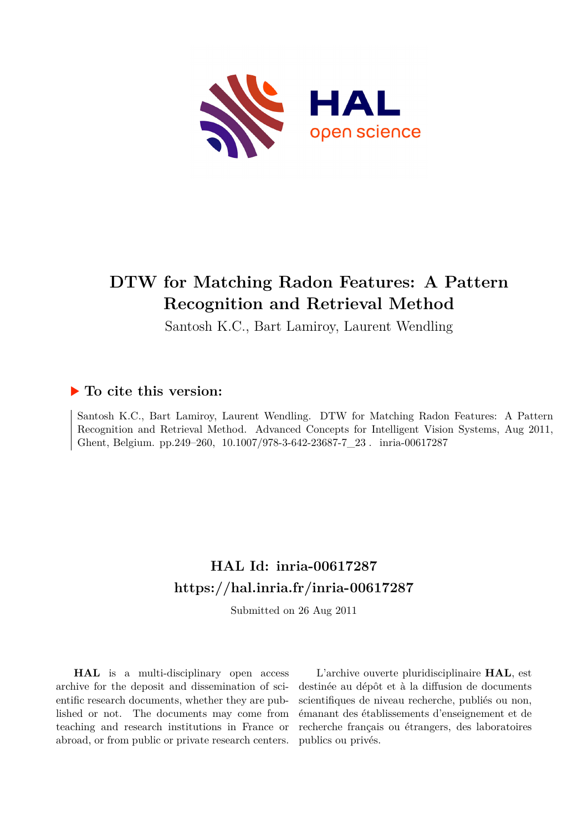

# **DTW for Matching Radon Features: A Pattern Recognition and Retrieval Method**

Santosh K.C., Bart Lamiroy, Laurent Wendling

## **To cite this version:**

Santosh K.C., Bart Lamiroy, Laurent Wendling. DTW for Matching Radon Features: A Pattern Recognition and Retrieval Method. Advanced Concepts for Intelligent Vision Systems, Aug 2011, Ghent, Belgium. pp.249-260,  $10.1007/978-3-642-23687-7\_23$ . inria-00617287

## **HAL Id: inria-00617287 <https://hal.inria.fr/inria-00617287>**

Submitted on 26 Aug 2011

**HAL** is a multi-disciplinary open access archive for the deposit and dissemination of scientific research documents, whether they are published or not. The documents may come from teaching and research institutions in France or abroad, or from public or private research centers.

L'archive ouverte pluridisciplinaire **HAL**, est destinée au dépôt et à la diffusion de documents scientifiques de niveau recherche, publiés ou non, émanant des établissements d'enseignement et de recherche français ou étrangers, des laboratoires publics ou privés.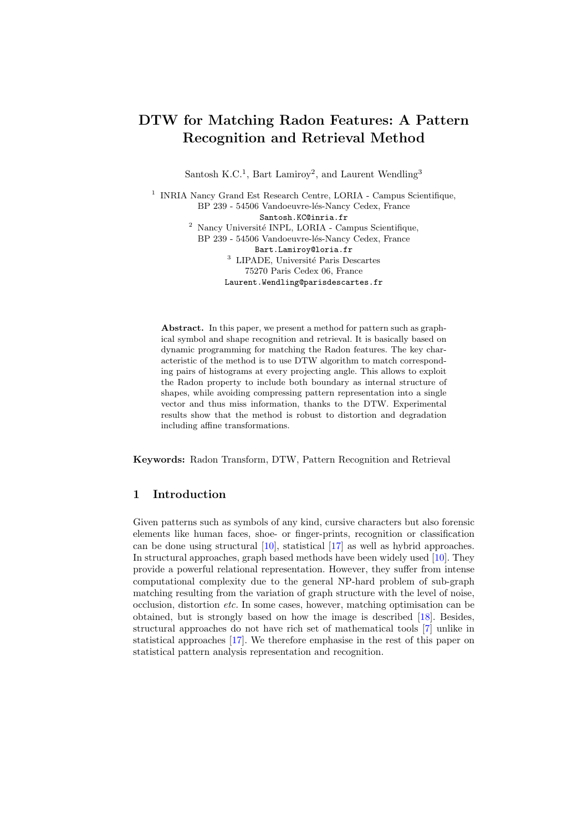## DTW for Matching Radon Features: A Pattern Recognition and Retrieval Method

Santosh K.C.<sup>1</sup>, Bart Lamiroy<sup>2</sup>, and Laurent Wendling<sup>3</sup>

1 INRIA Nancy Grand Est Research Centre, LORIA - Campus Scientifique, BP 239 - 54506 Vandoeuvre-lés-Nancy Cedex, France Santosh.KC@inria.fr  $2$  Nancy Université INPL, LORIA - Campus Scientifique, BP 239 - 54506 Vandoeuvre-lés-Nancy Cedex, France

> Bart.Lamiroy@loria.fr  $^3$  LIPADE, Université Paris Descartes 75270 Paris Cedex 06, France Laurent.Wendling@parisdescartes.fr

Abstract. In this paper, we present a method for pattern such as graphical symbol and shape recognition and retrieval. It is basically based on dynamic programming for matching the Radon features. The key characteristic of the method is to use DTW algorithm to match corresponding pairs of histograms at every projecting angle. This allows to exploit the Radon property to include both boundary as internal structure of shapes, while avoiding compressing pattern representation into a single vector and thus miss information, thanks to the DTW. Experimental results show that the method is robust to distortion and degradation including affine transformations.

Keywords: Radon Transform, DTW, Pattern Recognition and Retrieval

#### <span id="page-1-0"></span>1 Introduction

Given patterns such as symbols of any kind, cursive characters but also forensic elements like human faces, shoe- or finger-prints, recognition or classification can be done using structural [\[10\]](#page-11-0), statistical [\[17\]](#page-11-1) as well as hybrid approaches. In structural approaches, graph based methods have been widely used [\[10\]](#page-11-0). They provide a powerful relational representation. However, they suffer from intense computational complexity due to the general NP-hard problem of sub-graph matching resulting from the variation of graph structure with the level of noise, occlusion, distortion etc. In some cases, however, matching optimisation can be obtained, but is strongly based on how the image is described [\[18\]](#page-11-2). Besides, structural approaches do not have rich set of mathematical tools [\[7\]](#page-11-3) unlike in statistical approaches [\[17\]](#page-11-1). We therefore emphasise in the rest of this paper on statistical pattern analysis representation and recognition.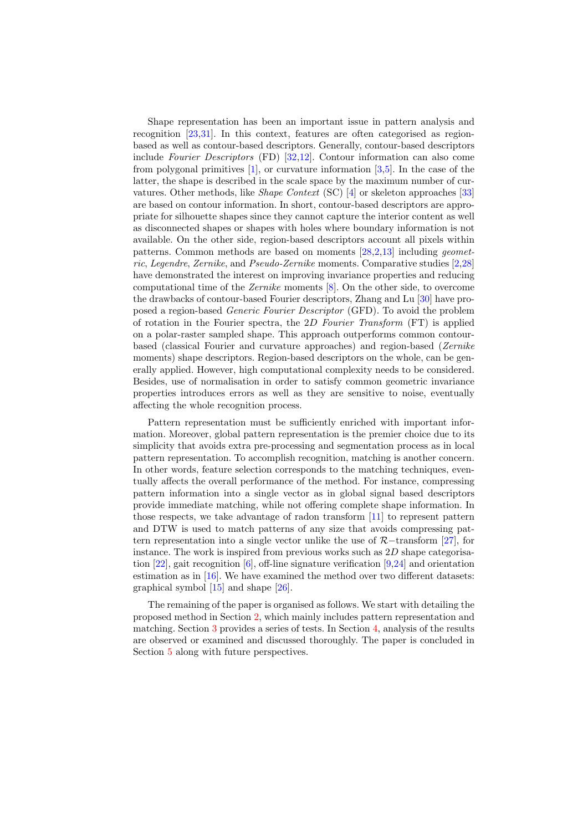Shape representation has been an important issue in pattern analysis and recognition [\[23](#page-11-4)[,31\]](#page-12-0). In this context, features are often categorised as regionbased as well as contour-based descriptors. Generally, contour-based descriptors include Fourier Descriptors (FD) [\[32,](#page-12-1)[12\]](#page-11-5). Contour information can also come from polygonal primitives [\[1\]](#page-11-6), or curvature information [\[3,](#page-11-7)[5\]](#page-11-8). In the case of the latter, the shape is described in the scale space by the maximum number of curvatures. Other methods, like Shape Context (SC) [\[4\]](#page-11-9) or skeleton approaches [\[33\]](#page-12-2) are based on contour information. In short, contour-based descriptors are appropriate for silhouette shapes since they cannot capture the interior content as well as disconnected shapes or shapes with holes where boundary information is not available. On the other side, region-based descriptors account all pixels within patterns. Common methods are based on moments [\[28,](#page-12-3)[2](#page-11-10)[,13\]](#page-11-11) including geometric, Legendre, Zernike, and Pseudo-Zernike moments. Comparative studies [\[2,](#page-11-10)[28\]](#page-12-3) have demonstrated the interest on improving invariance properties and reducing computational time of the Zernike moments [\[8\]](#page-11-12). On the other side, to overcome the drawbacks of contour-based Fourier descriptors, Zhang and Lu [\[30\]](#page-12-4) have proposed a region-based Generic Fourier Descriptor (GFD). To avoid the problem of rotation in the Fourier spectra, the 2D Fourier Transform (FT) is applied on a polar-raster sampled shape. This approach outperforms common contourbased (classical Fourier and curvature approaches) and region-based (Zernike moments) shape descriptors. Region-based descriptors on the whole, can be generally applied. However, high computational complexity needs to be considered. Besides, use of normalisation in order to satisfy common geometric invariance properties introduces errors as well as they are sensitive to noise, eventually affecting the whole recognition process.

Pattern representation must be sufficiently enriched with important information. Moreover, global pattern representation is the premier choice due to its simplicity that avoids extra pre-processing and segmentation process as in local pattern representation. To accomplish recognition, matching is another concern. In other words, feature selection corresponds to the matching techniques, eventually affects the overall performance of the method. For instance, compressing pattern information into a single vector as in global signal based descriptors provide immediate matching, while not offering complete shape information. In those respects, we take advantage of radon transform [\[11\]](#page-11-13) to represent pattern and DTW is used to match patterns of any size that avoids compressing pattern representation into a single vector unlike the use of R−transform [\[27\]](#page-12-5), for instance. The work is inspired from previous works such as  $2D$  shape categorisa-tion [\[22\]](#page-11-14), gait recognition  $[6]$ , off-line signature verification [\[9,](#page-11-16)[24\]](#page-12-6) and orientation estimation as in [\[16\]](#page-11-17). We have examined the method over two different datasets: graphical symbol [\[15\]](#page-11-18) and shape [\[26\]](#page-12-7).

The remaining of the paper is organised as follows. We start with detailing the proposed method in Section [2,](#page-3-0) which mainly includes pattern representation and matching. Section [3](#page-6-0) provides a series of tests. In Section [4,](#page-9-0) analysis of the results are observed or examined and discussed thoroughly. The paper is concluded in Section [5](#page-10-0) along with future perspectives.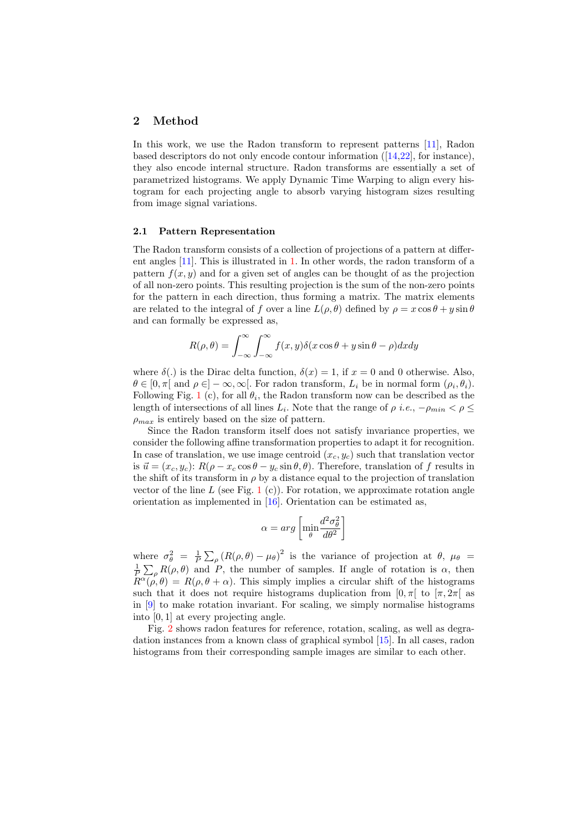#### <span id="page-3-0"></span>2 Method

In this work, we use the Radon transform to represent patterns [\[11\]](#page-11-13), Radon based descriptors do not only encode contour information  $(14,22)$ , for instance), they also encode internal structure. Radon transforms are essentially a set of parametrized histograms. We apply Dynamic Time Warping to align every histogram for each projecting angle to absorb varying histogram sizes resulting from image signal variations.

#### <span id="page-3-1"></span>2.1 Pattern Representation

The Radon transform consists of a collection of projections of a pattern at different angles [\[11\]](#page-11-13). This is illustrated in [1.](#page-4-0) In other words, the radon transform of a pattern  $f(x, y)$  and for a given set of angles can be thought of as the projection of all non-zero points. This resulting projection is the sum of the non-zero points for the pattern in each direction, thus forming a matrix. The matrix elements are related to the integral of f over a line  $L(\rho, \theta)$  defined by  $\rho = x \cos \theta + y \sin \theta$ and can formally be expressed as,

$$
R(\rho, \theta) = \int_{-\infty}^{\infty} \int_{-\infty}^{\infty} f(x, y) \delta(x \cos \theta + y \sin \theta - \rho) dx dy
$$

where  $\delta(.)$  is the Dirac delta function,  $\delta(x) = 1$ , if  $x = 0$  and 0 otherwise. Also,  $\theta \in [0, \pi[$  and  $\rho \in ]-\infty, \infty[$ . For radon transform,  $L_i$  be in normal form  $(\rho_i, \theta_i)$ . Following Fig. [1](#page-4-0) (c), for all  $\theta_i$ , the Radon transform now can be described as the length of intersections of all lines  $L_i$ . Note that the range of  $\rho$  *i.e.*,  $-\rho_{min} < \rho \leq$  $\rho_{max}$  is entirely based on the size of pattern.

Since the Radon transform itself does not satisfy invariance properties, we consider the following affine transformation properties to adapt it for recognition. In case of translation, we use image centroid  $(x_c, y_c)$  such that translation vector is  $\vec{u} = (x_c, y_c): R(\rho - x_c \cos \theta - y_c \sin \theta, \theta)$ . Therefore, translation of f results in the shift of its transform in  $\rho$  by a distance equal to the projection of translation vector of the line L (see Fig. [1](#page-4-0) (c)). For rotation, we approximate rotation angle orientation as implemented in [\[16\]](#page-11-17). Orientation can be estimated as,

$$
\alpha = arg \left[ \min_{\theta} \frac{d^2 \sigma_{\theta}^2}{d\theta^2} \right]
$$

where  $\sigma_{\theta}^2 = \frac{1}{P} \sum_{\rho} (R(\rho,\theta) - \mu_{\theta})^2$  is the variance of projection at  $\theta$ ,  $\mu_{\theta}$  $\frac{1}{P} \sum_{\rho} R(\rho, \theta)$  and P, the number of samples. If angle of rotation is  $\alpha$ , then  $R^{\alpha}(\rho,\theta) = R(\rho,\theta+\alpha)$ . This simply implies a circular shift of the histograms such that it does not require histograms duplication from  $[0, \pi]$  to  $[\pi, 2\pi]$  as in [\[9\]](#page-11-16) to make rotation invariant. For scaling, we simply normalise histograms into [0, 1] at every projecting angle.

Fig. [2](#page-4-1) shows radon features for reference, rotation, scaling, as well as degradation instances from a known class of graphical symbol [\[15\]](#page-11-18). In all cases, radon histograms from their corresponding sample images are similar to each other.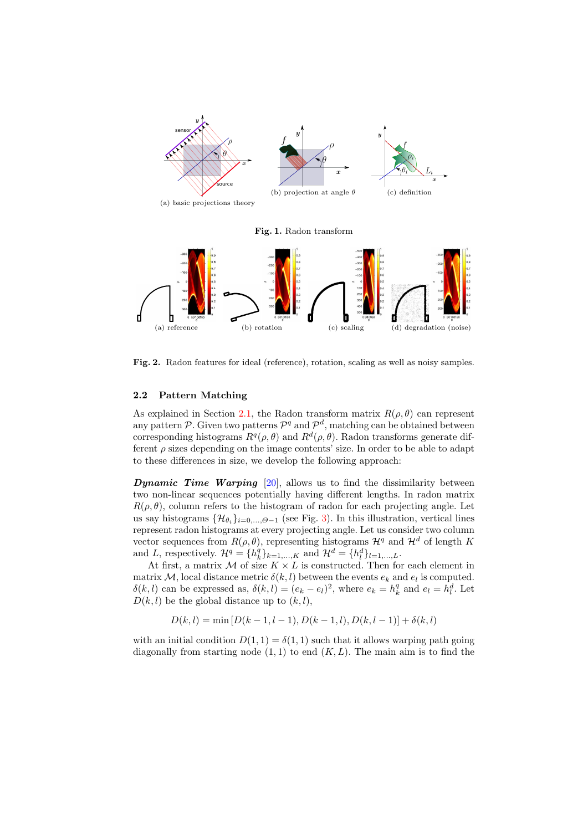<span id="page-4-0"></span>

<span id="page-4-1"></span>Fig. 2. Radon features for ideal (reference), rotation, scaling as well as noisy samples.

#### 2.2 Pattern Matching

As explained in Section [2.1,](#page-3-1) the Radon transform matrix  $R(\rho, \theta)$  can represent any pattern P. Given two patterns  $\mathcal{P}^q$  and  $\mathcal{P}^d$ , matching can be obtained between corresponding histograms  $R^q(\rho, \theta)$  and  $R^d(\rho, \theta)$ . Radon transforms generate different  $\rho$  sizes depending on the image contents' size. In order to be able to adapt to these differences in size, we develop the following approach:

**Dynamic Time Warping** [\[20\]](#page-11-20), allows us to find the dissimilarity between two non-linear sequences potentially having different lengths. In radon matrix  $R(\rho, \theta)$ , column refers to the histogram of radon for each projecting angle. Let us say histograms  $\{\mathcal{H}_{\theta_i}\}_{i=0,\dots,\Theta-1}$  (see Fig. [3\)](#page-5-0). In this illustration, vertical lines represent radon histograms at every projecting angle. Let us consider two column vector sequences from  $R(\rho, \theta)$ , representing histograms  $\mathcal{H}^q$  and  $\mathcal{H}^d$  of length K and L, respectively.  $\mathcal{H}^q = \{h_k^q\}_{k=1,\dots,K}$  and  $\mathcal{H}^d = \{h_l^d\}_{l=1,\dots,L}$ .

At first, a matrix  $M$  of size  $K \times L$  is constructed. Then for each element in matrix M, local distance metric  $\delta(k, l)$  between the events  $e_k$  and  $e_l$  is computed.  $\delta(k, l)$  can be expressed as,  $\delta(k, l) = (e_k - e_l)^2$ , where  $e_k = h_k^q$  and  $e_l = h_l^d$ . Let  $D(k, l)$  be the global distance up to  $(k, l)$ ,

$$
D(k, l) = \min [D(k - 1, l - 1), D(k - 1, l), D(k, l - 1)] + \delta(k, l)
$$

with an initial condition  $D(1, 1) = \delta(1, 1)$  such that it allows warping path going diagonally from starting node  $(1,1)$  to end  $(K, L)$ . The main aim is to find the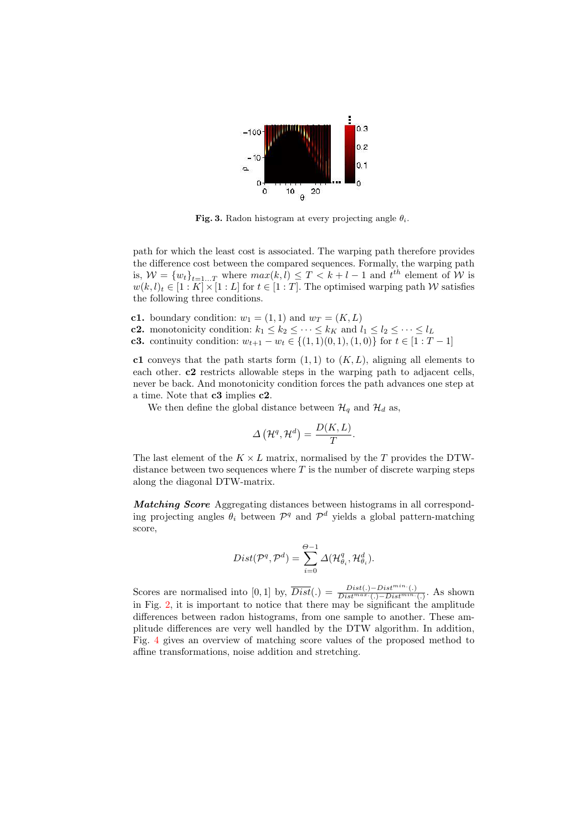

<span id="page-5-0"></span>Fig. 3. Radon histogram at every projecting angle  $\theta_i$ .

path for which the least cost is associated. The warping path therefore provides the difference cost between the compared sequences. Formally, the warping path is,  $W = \{w_t\}_{t=1...T}$  where  $max(k, l) \leq T < k+l-1$  and  $t^{th}$  element of W is  $w(k, l)_t \in [1:K] \times [1:L]$  for  $t \in [1:T]$ . The optimised warping path W satisfies the following three conditions.

c1. boundary condition:  $w_1 = (1, 1)$  and  $w_T = (K, L)$ 

**c2.** monotonicity condition:  $k_1 \leq k_2 \leq \cdots \leq k_K$  and  $l_1 \leq l_2 \leq \cdots \leq l_L$ 

**c3.** continuity condition:  $w_{t+1} - w_t \in \{(1,1)(0,1), (1,0)\}$  for  $t \in [1 : T - 1]$ 

c1 conveys that the path starts form  $(1, 1)$  to  $(K, L)$ , aligning all elements to each other. c2 restricts allowable steps in the warping path to adjacent cells, never be back. And monotonicity condition forces the path advances one step at a time. Note that c3 implies c2.

We then define the global distance between  $\mathcal{H}_q$  and  $\mathcal{H}_d$  as,

$$
\Delta\left(\mathcal{H}^q,\mathcal{H}^d\right) = \frac{D(K,L)}{T}.
$$

The last element of the  $K \times L$  matrix, normalised by the T provides the DTWdistance between two sequences where  $T$  is the number of discrete warping steps along the diagonal DTW-matrix.

Matching Score Aggregating distances between histograms in all corresponding projecting angles  $\theta_i$  between  $\mathcal{P}^q$  and  $\mathcal{P}^d$  yields a global pattern-matching score,

$$
Dist(\mathcal{P}^q, \mathcal{P}^d) = \sum_{i=0}^{\Theta-1} \Delta(\mathcal{H}_{\theta_i}^q, \mathcal{H}_{\theta_i}^d).
$$

Scores are normalised into [0, 1] by,  $\overline{Dist}(.) = \frac{Dist(.) - Dist^{min}(.)}{Dist^{max}(.) - Dist^{min}(.)}$ . As shown in Fig. [2,](#page-4-1) it is important to notice that there may be significant the amplitude differences between radon histograms, from one sample to another. These amplitude differences are very well handled by the DTW algorithm. In addition, Fig. [4](#page-6-1) gives an overview of matching score values of the proposed method to affine transformations, noise addition and stretching.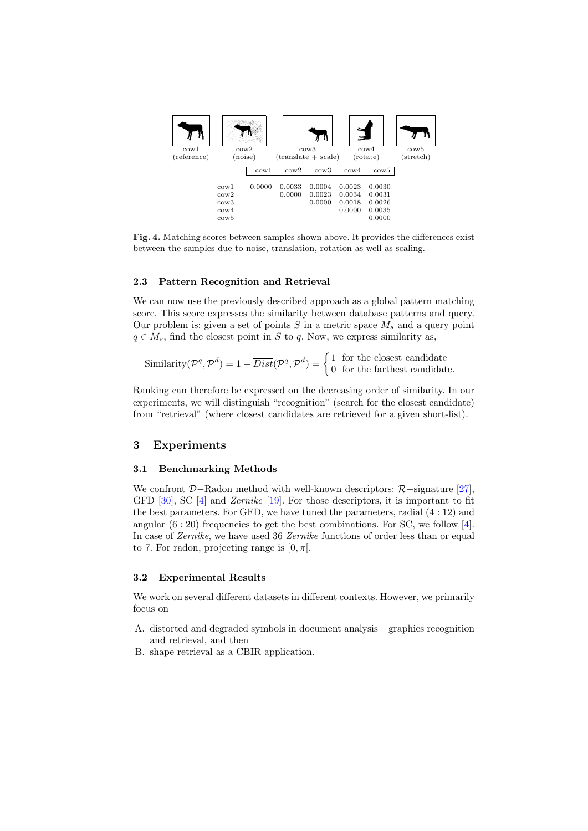

<span id="page-6-1"></span>Fig. 4. Matching scores between samples shown above. It provides the differences exist between the samples due to noise, translation, rotation as well as scaling.

#### 2.3 Pattern Recognition and Retrieval

We can now use the previously described approach as a global pattern matching score. This score expresses the similarity between database patterns and query. Our problem is: given a set of points  $S$  in a metric space  $M_s$  and a query point  $q \in M_s$ , find the closest point in S to q. Now, we express similarity as,

Similarly 
$$
(\mathcal{P}^q, \mathcal{P}^d) = 1 - \overline{Dist}(\mathcal{P}^q, \mathcal{P}^d) = \begin{cases} 1 & \text{for the closest candidate} \\ 0 & \text{for the farthest candidate.} \end{cases}
$$

Ranking can therefore be expressed on the decreasing order of similarity. In our experiments, we will distinguish "recognition" (search for the closest candidate) from "retrieval" (where closest candidates are retrieved for a given short-list).

#### <span id="page-6-0"></span>3 Experiments

#### 3.1 Benchmarking Methods

We confront  $D-$ Radon method with well-known descriptors:  $\mathcal{R}-$ signature [\[27\]](#page-12-5), GFD [\[30\]](#page-12-4), SC [\[4\]](#page-11-9) and Zernike [\[19\]](#page-11-21). For those descriptors, it is important to fit the best parameters. For GFD, we have tuned the parameters, radial (4 : 12) and angular  $(6:20)$  frequencies to get the best combinations. For SC, we follow [\[4\]](#page-11-9). In case of Zernike, we have used 36 Zernike functions of order less than or equal to 7. For radon, projecting range is  $[0, \pi]$ .

#### 3.2 Experimental Results

We work on several different datasets in different contexts. However, we primarily focus on

- A. distorted and degraded symbols in document analysis graphics recognition and retrieval, and then
- B. shape retrieval as a CBIR application.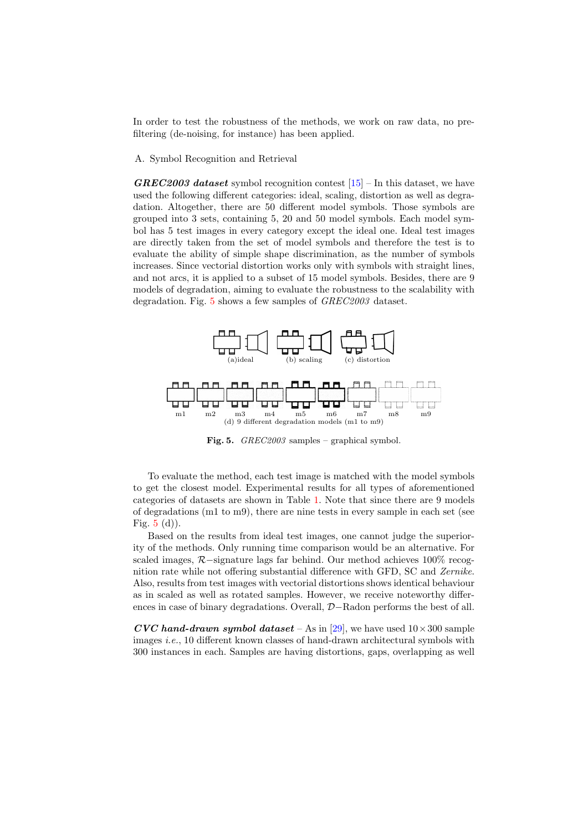In order to test the robustness of the methods, we work on raw data, no prefiltering (de-noising, for instance) has been applied.

#### A. Symbol Recognition and Retrieval

**GREC2003** dataset symbol recognition contest  $[15]$  – In this dataset, we have used the following different categories: ideal, scaling, distortion as well as degradation. Altogether, there are 50 different model symbols. Those symbols are grouped into 3 sets, containing 5, 20 and 50 model symbols. Each model symbol has 5 test images in every category except the ideal one. Ideal test images are directly taken from the set of model symbols and therefore the test is to evaluate the ability of simple shape discrimination, as the number of symbols increases. Since vectorial distortion works only with symbols with straight lines, and not arcs, it is applied to a subset of 15 model symbols. Besides, there are 9 models of degradation, aiming to evaluate the robustness to the scalability with degradation. Fig. [5](#page-7-0) shows a few samples of GREC2003 dataset.



<span id="page-7-0"></span>Fig. 5. GREC2003 samples – graphical symbol.

To evaluate the method, each test image is matched with the model symbols to get the closest model. Experimental results for all types of aforementioned categories of datasets are shown in Table [1.](#page-8-0) Note that since there are 9 models of degradations (m1 to m9), there are nine tests in every sample in each set (see Fig.  $5(d)$  $5(d)$ .

Based on the results from ideal test images, one cannot judge the superiority of the methods. Only running time comparison would be an alternative. For scaled images, R−signature lags far behind. Our method achieves 100% recognition rate while not offering substantial difference with GFD, SC and Zernike. Also, results from test images with vectorial distortions shows identical behaviour as in scaled as well as rotated samples. However, we receive noteworthy differences in case of binary degradations. Overall, D−Radon performs the best of all.

CVC hand-drawn symbol dataset – As in [\[29\]](#page-12-8), we have used  $10 \times 300$  sample images i.e., 10 different known classes of hand-drawn architectural symbols with 300 instances in each. Samples are having distortions, gaps, overlapping as well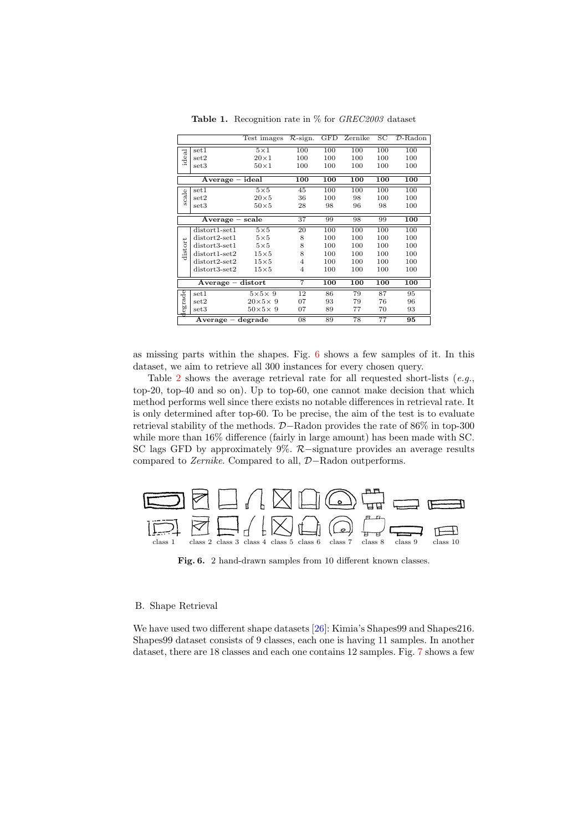|         |                     | Test images        | $\mathcal{R}\text{-sign.}$ | GFD | Zernike | SC               | $\mathcal{D}\text{-Radon}$ |
|---------|---------------------|--------------------|----------------------------|-----|---------|------------------|----------------------------|
|         | set1                | $5\times1$         | 100                        | 100 | 100     | 100              | 100                        |
| ideal   | set2                | $20\times1$        | 100                        | 100 | 100     | 100              | 100                        |
|         | set3                | $50\times1$        | 100                        | 100 | 100     | 100              | 100                        |
|         | $Average - ideal$   |                    | 100                        | 100 | 100     | $\overline{100}$ | 100                        |
|         | set1                | $5\times5$         | 45                         | 100 | 100     | 100              | 100                        |
| scale   | set2                | $20\times5$        | 36                         | 100 | 98      | 100              | 100                        |
|         | set3                | $50\times5$        | 28                         | 98  | 96      | 98               | 100                        |
|         | $Average - scale$   |                    | 37                         | 99  | 98      | 99               | 100                        |
|         | $distort1-set1$     | $5\times5$         | 20                         | 100 | 100     | 100              | 100                        |
|         | $distort2-set1$     | $5\times5$         | 8                          | 100 | 100     | 100              | 100                        |
| distort | $distort3-set1$     | $5\times5$         | 8                          | 100 | 100     | 100              | 100                        |
|         | $distort1-set2$     | $15\times5$        | 8                          | 100 | 100     | 100              | 100                        |
|         | $distort2-set2$     | $15\times5$        | $\overline{4}$             | 100 | 100     | 100              | 100                        |
|         | $distort3-set2$     | $15\times5$        | $\overline{4}$             | 100 | 100     | 100              | 100                        |
|         | $Average - distort$ |                    | 7                          | 100 | 100     | 100              | 100                        |
| legrade | set1                | $5\times5\times9$  | 12                         | 86  | 79      | 87               | 95                         |
|         | set2                | $20\times5\times9$ | 07                         | 93  | 79      | 76               | 96                         |
|         | set3                | $50\times5\times9$ | 07                         | 89  | 77      | 70               | 93                         |
|         | Average – degrade   |                    | 08                         | 89  | 78      | 77               | 95                         |

<span id="page-8-0"></span>Table 1. Recognition rate in % for GREC2003 dataset

as missing parts within the shapes. Fig. [6](#page-8-1) shows a few samples of it. In this dataset, we aim to retrieve all 300 instances for every chosen query.

Table [2](#page-9-1) shows the average retrieval rate for all requested short-lists  $(e.g.,$ top-20, top-40 and so on). Up to top-60, one cannot make decision that which method performs well since there exists no notable differences in retrieval rate. It is only determined after top-60. To be precise, the aim of the test is to evaluate retrieval stability of the methods. D−Radon provides the rate of 86% in top-300 while more than  $16\%$  difference (fairly in large amount) has been made with SC. SC lags GFD by approximately 9%. R−signature provides an average results compared to Zernike. Compared to all, D−Radon outperforms.



<span id="page-8-1"></span>Fig. 6. 2 hand-drawn samples from 10 different known classes.

#### B. Shape Retrieval

We have used two different shape datasets [\[26\]](#page-12-7): Kimia's Shapes99 and Shapes216. Shapes99 dataset consists of 9 classes, each one is having 11 samples. In another dataset, there are 18 classes and each one contains 12 samples. Fig. [7](#page-9-2) shows a few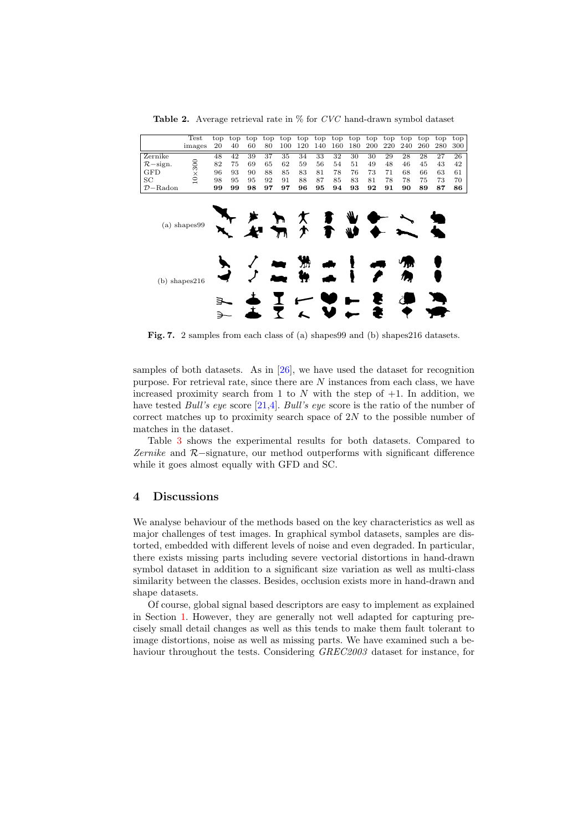<span id="page-9-1"></span>**Table 2.** Average retrieval rate in  $\%$  for CVC hand-drawn symbol dataset

|             | Test        | top | top | top | top |     |     |     |     |     |     |    | top top top top top top top top top top |    |     | top |
|-------------|-------------|-----|-----|-----|-----|-----|-----|-----|-----|-----|-----|----|-----------------------------------------|----|-----|-----|
|             | images      | 20  | 40  | 60  | 80  | 100 | 120 | 140 | 160 | 180 | 200 |    | 220 240 260                             |    | 280 | 300 |
| Zernike     |             | 48  | 42  | 39  | 37  | 35  | 34  | 33  | 32  | 30  | 30  | 29 | 28                                      | 28 | 27  | 26  |
| $R$ -sign.  | 300         | 82  | 75  | 69  | 65  | 62  | 59  | 56  | 54  | 51  | 49  | 48 | 46                                      | 45 | 43  | 42  |
| GFD         | $\times$    | 96  | 93  | 90  | 88  | 85  | 83  | 81  | 78  | 76  | 73  | 71 | 68                                      | 66 | 63  | 61  |
| SC          | $\supseteq$ | 98  | 95  | 95  | 92  | 91  | 88  | 87  | 85  | 83  | 81  | 78 | 78                                      | 75 | 73  | 70  |
| $D - Radon$ |             | 99  | 99  | 98  | 97  | 97  | 96  | 95  | 94  | 93  | 92  | 91 | 90                                      | 89 | 87  | 86  |
|             |             |     |     |     |     |     |     |     |     |     |     |    |                                         |    |     |     |
|             |             |     |     |     |     |     |     |     |     |     |     |    |                                         |    |     |     |



<span id="page-9-2"></span>Fig. 7. 2 samples from each class of (a) shapes99 and (b) shapes216 datasets.

samples of both datasets. As in  $[26]$ , we have used the dataset for recognition purpose. For retrieval rate, since there are  $N$  instances from each class, we have increased proximity search from 1 to  $N$  with the step of  $+1$ . In addition, we have tested *Bull's eye* score [\[21,](#page-11-22)[4\]](#page-11-9). *Bull's eye* score is the ratio of the number of correct matches up to proximity search space of  $2N$  to the possible number of matches in the dataset.

Table [3](#page-10-1) shows the experimental results for both datasets. Compared to Zernike and R−signature, our method outperforms with significant difference while it goes almost equally with GFD and SC.

#### <span id="page-9-0"></span>4 Discussions

We analyse behaviour of the methods based on the key characteristics as well as major challenges of test images. In graphical symbol datasets, samples are distorted, embedded with different levels of noise and even degraded. In particular, there exists missing parts including severe vectorial distortions in hand-drawn symbol dataset in addition to a significant size variation as well as multi-class similarity between the classes. Besides, occlusion exists more in hand-drawn and shape datasets.

Of course, global signal based descriptors are easy to implement as explained in Section [1.](#page-1-0) However, they are generally not well adapted for capturing precisely small detail changes as well as this tends to make them fault tolerant to image distortions, noise as well as missing parts. We have examined such a behaviour throughout the tests. Considering GREC2003 dataset for instance, for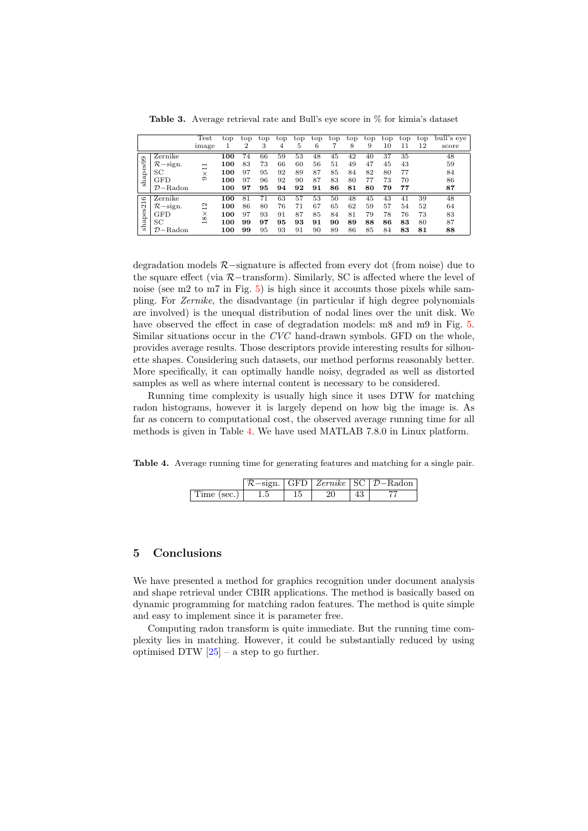<span id="page-10-1"></span>Table 3. Average retrieval rate and Bull's eye score in % for kimia's dataset

|                           |             | Test                                   | top | top | top | top | top | top | top | top | top | top | top | top | bull's eve |
|---------------------------|-------------|----------------------------------------|-----|-----|-----|-----|-----|-----|-----|-----|-----|-----|-----|-----|------------|
|                           |             | image                                  |     | 2   | 3   | 4   | 5   | 6   |     | 8   | 9   | 10  | 11  | 12  | score      |
|                           | Zernike     |                                        | 100 | 74  | 66  | 59  | 53  | 48  | 45  | 42  | 40  | 37  | 35  |     | 48         |
| hapes99                   | $R$ -sign.  | $\overline{\phantom{0}}$               | 100 | 83  | 73  | 66  | 60  | 56  | 51  | 49  | 47  | 45  | 43  |     | 59         |
|                           | SС          | ⊣<br>$\times$                          | 100 | 97  | 95  | 92  | 89  | 87  | 85  | 84  | 82  | 80  | 77  |     | 84         |
|                           | <b>GFD</b>  | ග                                      | 100 | 97  | 96  | 92  | 90  | 87  | 83  | 80  | 77  | 73  | 70  |     | 86         |
| σó                        | $D - Radon$ |                                        | 100 | 97  | 95  | 94  | 92  | 91  | 86  | 81  | 80  | 79  | 77  |     | 87         |
| $\circ$<br>$\overline{ }$ | Zernike     |                                        | 100 | 81  | 71  | 63  | 57  | 53  | 50  | 48  | 45  | 43  | 41  | 39  | 48         |
|                           | $R$ -sign.  | $^{12}$                                | 100 | 86  | 80  | 76  | 71  | 67  | 65  | 62  | 59  | 57  | 54  | 52  | 64         |
| shapes2                   | <b>GFD</b>  | $\times$                               | 100 | 97  | 93  | 91  | 87  | 85  | 84  | 81  | 79  | 78  | 76  | 73  | 83         |
|                           | SС          | $^{\circ}$<br>$\overline{\phantom{0}}$ | 100 | 99  | 97  | 95  | 93  | 91  | 90  | 89  | 88  | 86  | 83  | 80  | 87         |
|                           | $D - Radon$ |                                        | 100 | 99  | 95  | 93  | 91  | 90  | 89  | 86  | 85  | 84  | 83  | 81  | 88         |

degradation models R−signature is affected from every dot (from noise) due to the square effect (via R−transform). Similarly, SC is affected where the level of noise (see m2 to m7 in Fig. [5\)](#page-7-0) is high since it accounts those pixels while sampling. For Zernike, the disadvantage (in particular if high degree polynomials are involved) is the unequal distribution of nodal lines over the unit disk. We have observed the effect in case of degradation models: m8 and m9 in Fig.  $5$ . Similar situations occur in the CVC hand-drawn symbols. GFD on the whole, provides average results. Those descriptors provide interesting results for silhouette shapes. Considering such datasets, our method performs reasonably better. More specifically, it can optimally handle noisy, degraded as well as distorted samples as well as where internal content is necessary to be considered.

Running time complexity is usually high since it uses DTW for matching radon histograms, however it is largely depend on how big the image is. As far as concern to computational cost, the observed average running time for all methods is given in Table [4.](#page-10-2) We have used MATLAB 7.8.0 in Linux platform.

Table 4. Average running time for generating features and matching for a single pair.

<span id="page-10-2"></span>

|                     |     |     |    | $R\text{-sign.}$ GFD $Zernike$ SC $D\text{-}Radon$ |
|---------------------|-----|-----|----|----------------------------------------------------|
| Time (sec.) $\vert$ | 1.5 | -20 | 43 |                                                    |

#### <span id="page-10-0"></span>5 Conclusions

We have presented a method for graphics recognition under document analysis and shape retrieval under CBIR applications. The method is basically based on dynamic programming for matching radon features. The method is quite simple and easy to implement since it is parameter free.

Computing radon transform is quite immediate. But the running time complexity lies in matching. However, it could be substantially reduced by using optimised DTW  $[25]$  – a step to go further.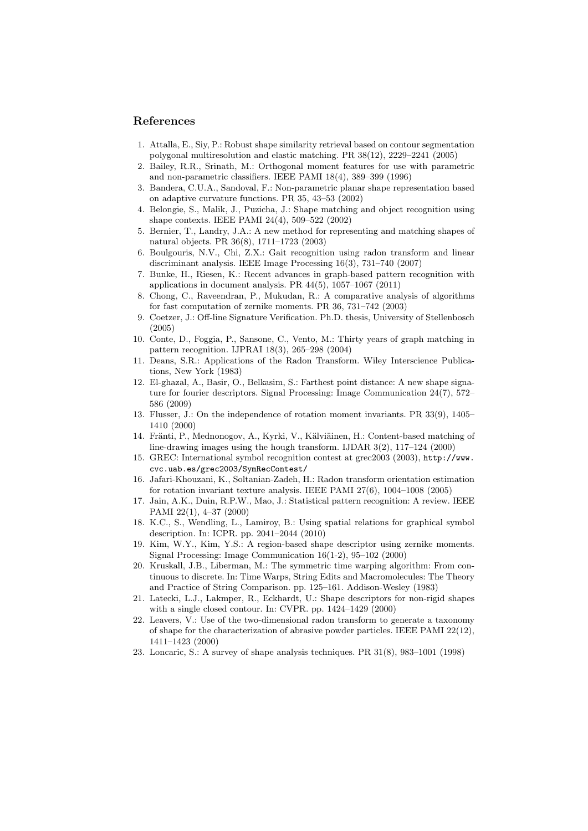#### References

- <span id="page-11-6"></span>1. Attalla, E., Siy, P.: Robust shape similarity retrieval based on contour segmentation polygonal multiresolution and elastic matching. PR 38(12), 2229–2241 (2005)
- <span id="page-11-10"></span>2. Bailey, R.R., Srinath, M.: Orthogonal moment features for use with parametric and non-parametric classifiers. IEEE PAMI 18(4), 389–399 (1996)
- <span id="page-11-7"></span>3. Bandera, C.U.A., Sandoval, F.: Non-parametric planar shape representation based on adaptive curvature functions. PR 35, 43–53 (2002)
- <span id="page-11-9"></span>4. Belongie, S., Malik, J., Puzicha, J.: Shape matching and object recognition using shape contexts. IEEE PAMI 24(4), 509–522 (2002)
- <span id="page-11-8"></span>5. Bernier, T., Landry, J.A.: A new method for representing and matching shapes of natural objects. PR 36(8), 1711–1723 (2003)
- <span id="page-11-15"></span>6. Boulgouris, N.V., Chi, Z.X.: Gait recognition using radon transform and linear discriminant analysis. IEEE Image Processing 16(3), 731–740 (2007)
- <span id="page-11-3"></span>7. Bunke, H., Riesen, K.: Recent advances in graph-based pattern recognition with applications in document analysis. PR 44(5), 1057–1067 (2011)
- <span id="page-11-12"></span>8. Chong, C., Raveendran, P., Mukudan, R.: A comparative analysis of algorithms for fast computation of zernike moments. PR 36, 731–742 (2003)
- <span id="page-11-16"></span>9. Coetzer, J.: Off-line Signature Verification. Ph.D. thesis, University of Stellenbosch (2005)
- <span id="page-11-0"></span>10. Conte, D., Foggia, P., Sansone, C., Vento, M.: Thirty years of graph matching in pattern recognition. IJPRAI 18(3), 265–298 (2004)
- <span id="page-11-13"></span>11. Deans, S.R.: Applications of the Radon Transform. Wiley Interscience Publications, New York (1983)
- <span id="page-11-5"></span>12. El-ghazal, A., Basir, O., Belkasim, S.: Farthest point distance: A new shape signature for fourier descriptors. Signal Processing: Image Communication 24(7), 572– 586 (2009)
- <span id="page-11-11"></span>13. Flusser, J.: On the independence of rotation moment invariants. PR 33(9), 1405– 1410 (2000)
- <span id="page-11-19"></span>14. Fränti, P., Mednonogov, A., Kyrki, V., Kälviäinen, H.: Content-based matching of line-drawing images using the hough transform. IJDAR 3(2), 117–124 (2000)
- <span id="page-11-18"></span>15. GREC: International symbol recognition contest at grec2003 (2003), [http://www.](http://www.cvc.uab.es/grec2003/SymRecContest/) [cvc.uab.es/grec2003/SymRecContest/](http://www.cvc.uab.es/grec2003/SymRecContest/)
- <span id="page-11-17"></span>16. Jafari-Khouzani, K., Soltanian-Zadeh, H.: Radon transform orientation estimation for rotation invariant texture analysis. IEEE PAMI 27(6), 1004–1008 (2005)
- <span id="page-11-1"></span>17. Jain, A.K., Duin, R.P.W., Mao, J.: Statistical pattern recognition: A review. IEEE PAMI 22(1), 4–37 (2000)
- <span id="page-11-2"></span>18. K.C., S., Wendling, L., Lamiroy, B.: Using spatial relations for graphical symbol description. In: ICPR. pp. 2041–2044 (2010)
- <span id="page-11-21"></span>19. Kim, W.Y., Kim, Y.S.: A region-based shape descriptor using zernike moments. Signal Processing: Image Communication 16(1-2), 95–102 (2000)
- <span id="page-11-20"></span>20. Kruskall, J.B., Liberman, M.: The symmetric time warping algorithm: From continuous to discrete. In: Time Warps, String Edits and Macromolecules: The Theory and Practice of String Comparison. pp. 125–161. Addison-Wesley (1983)
- <span id="page-11-22"></span>21. Latecki, L.J., Lakmper, R., Eckhardt, U.: Shape descriptors for non-rigid shapes with a single closed contour. In: CVPR. pp. 1424–1429 (2000)
- <span id="page-11-14"></span>22. Leavers, V.: Use of the two-dimensional radon transform to generate a taxonomy of shape for the characterization of abrasive powder particles. IEEE PAMI 22(12), 1411–1423 (2000)
- <span id="page-11-4"></span>23. Loncaric, S.: A survey of shape analysis techniques. PR 31(8), 983–1001 (1998)